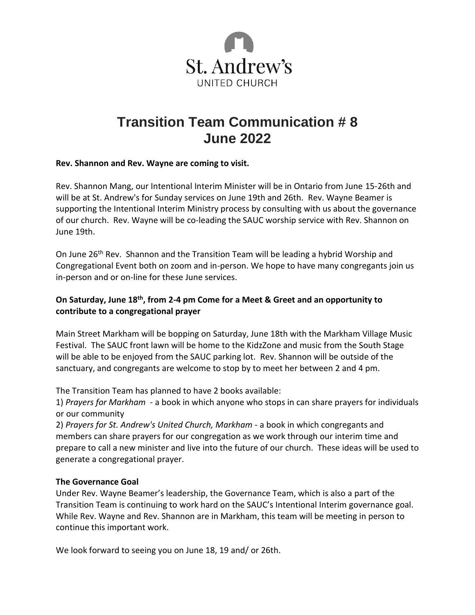

# **Transition Team Communication # 8 June 2022**

#### **Rev. Shannon and Rev. Wayne are coming to visit.**

Rev. Shannon Mang, our Intentional Interim Minister will be in Ontario from June 15-26th and will be at St. Andrew's for Sunday services on June 19th and 26th. Rev. Wayne Beamer is supporting the Intentional Interim Ministry process by consulting with us about the governance of our church. Rev. Wayne will be co-leading the SAUC worship service with Rev. Shannon on June 19th.

On June 26<sup>th</sup> Rev. Shannon and the Transition Team will be leading a hybrid Worship and Congregational Event both on zoom and in-person. We hope to have many congregants join us in-person and or on-line for these June services.

## **On Saturday, June 18th, from 2-4 pm Come for a Meet & Greet and an opportunity to contribute to a congregational prayer**

Main Street Markham will be bopping on Saturday, June 18th with the Markham Village Music Festival. The SAUC front lawn will be home to the KidzZone and music from the South Stage will be able to be enjoyed from the SAUC parking lot. Rev. Shannon will be outside of the sanctuary, and congregants are welcome to stop by to meet her between 2 and 4 pm.

The Transition Team has planned to have 2 books available:

1) *Prayers for Markham* - a book in which anyone who stops in can share prayers for individuals or our community

2) *Prayers for St. Andrew's United Church, Markham* - a book in which congregants and members can share prayers for our congregation as we work through our interim time and prepare to call a new minister and live into the future of our church. These ideas will be used to generate a congregational prayer.

## **The Governance Goal**

Under Rev. Wayne Beamer's leadership, the Governance Team, which is also a part of the Transition Team is continuing to work hard on the SAUC's Intentional Interim governance goal. While Rev. Wayne and Rev. Shannon are in Markham, this team will be meeting in person to continue this important work.

We look forward to seeing you on June 18, 19 and/ or 26th.